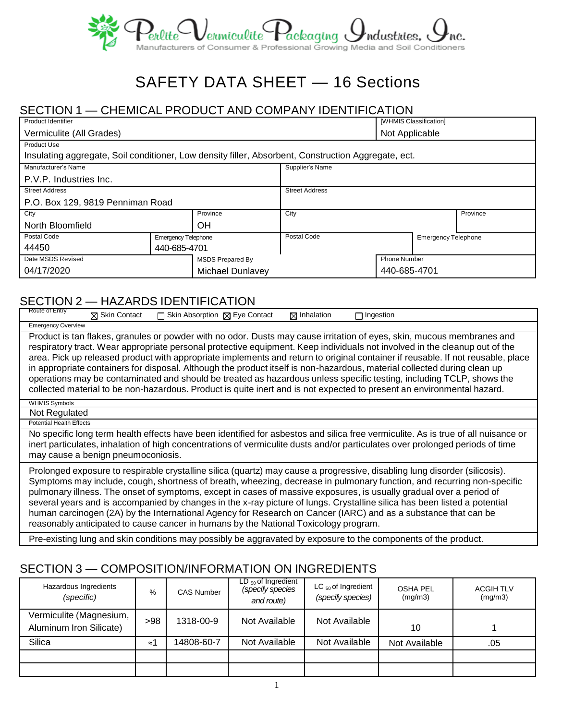

# SAFETY DATA SHEET — 16 Sections

### SECTION 1 — CHEMICAL PRODUCT AND COMPANY IDENTIFICATION

| Product Identifier                                                                                  |  |                       |                     |                | [WHMIS Classification]     |          |
|-----------------------------------------------------------------------------------------------------|--|-----------------------|---------------------|----------------|----------------------------|----------|
| Vermiculite (All Grades)                                                                            |  |                       |                     | Not Applicable |                            |          |
| <b>Product Use</b>                                                                                  |  |                       |                     |                |                            |          |
| Insulating aggregate, Soil conditioner, Low density filler, Absorbent, Construction Aggregate, ect. |  |                       |                     |                |                            |          |
| Manufacturer's Name                                                                                 |  |                       | Supplier's Name     |                |                            |          |
| P.V.P. Industries Inc.                                                                              |  |                       |                     |                |                            |          |
| <b>Street Address</b>                                                                               |  | <b>Street Address</b> |                     |                |                            |          |
| P.O. Box 129, 9819 Penniman Road                                                                    |  |                       |                     |                |                            |          |
| City<br>Province                                                                                    |  |                       | City                |                |                            | Province |
| OН<br>North Bloomfield                                                                              |  |                       |                     |                |                            |          |
| Postal Code<br><b>Emergency Telephone</b>                                                           |  |                       | Postal Code         |                | <b>Emergency Telephone</b> |          |
| 44450<br>440-685-4701                                                                               |  |                       |                     |                |                            |          |
| Date MSDS Revised<br><b>MSDS Prepared By</b>                                                        |  |                       | <b>Phone Number</b> |                |                            |          |
| 04/17/2020<br>Michael Dunlavey                                                                      |  |                       | 440-685-4701        |                |                            |          |

#### SECTION 2 — HAZARDS IDENTIFICATION

| Route of Entry                        | $\boxtimes$ Skin Contact           | □ Skin Absorption ⊠ Eye Contact                                                      | $\boxtimes$ Inhalation | $\Box$ Ingestion                                                                                                                                                                                                                                                                                                                                                                                                                                                                                                                                                                                                                                                                                                                                                      |
|---------------------------------------|------------------------------------|--------------------------------------------------------------------------------------|------------------------|-----------------------------------------------------------------------------------------------------------------------------------------------------------------------------------------------------------------------------------------------------------------------------------------------------------------------------------------------------------------------------------------------------------------------------------------------------------------------------------------------------------------------------------------------------------------------------------------------------------------------------------------------------------------------------------------------------------------------------------------------------------------------|
| <b>Emergency Overview</b>             |                                    |                                                                                      |                        |                                                                                                                                                                                                                                                                                                                                                                                                                                                                                                                                                                                                                                                                                                                                                                       |
|                                       |                                    |                                                                                      |                        | Product is tan flakes, granules or powder with no odor. Dusts may cause irritation of eyes, skin, mucous membranes and<br>respiratory tract. Wear appropriate personal protective equipment. Keep individuals not involved in the cleanup out of the<br>area. Pick up released product with appropriate implements and return to original container if reusable. If not reusable, place<br>in appropriate containers for disposal. Although the product itself is non-hazardous, material collected during clean up<br>operations may be contaminated and should be treated as hazardous unless specific testing, including TCLP, shows the<br>collected material to be non-hazardous. Product is quite inert and is not expected to present an environmental hazard. |
| <b>WHMIS Symbols</b><br>Not Regulated |                                    |                                                                                      |                        |                                                                                                                                                                                                                                                                                                                                                                                                                                                                                                                                                                                                                                                                                                                                                                       |
| <b>Potential Health Effects</b>       |                                    |                                                                                      |                        |                                                                                                                                                                                                                                                                                                                                                                                                                                                                                                                                                                                                                                                                                                                                                                       |
|                                       | may cause a benign pneumoconiosis. |                                                                                      |                        | No specific long term health effects have been identified for asbestos and silica free vermiculite. As is true of all nuisance or<br>inert particulates, inhalation of high concentrations of vermiculite dusts and/or particulates over prolonged periods of time                                                                                                                                                                                                                                                                                                                                                                                                                                                                                                    |
|                                       |                                    | reasonably anticipated to cause cancer in humans by the National Toxicology program. |                        | Prolonged exposure to respirable crystalline silica (quartz) may cause a progressive, disabling lung disorder (silicosis).<br>Symptoms may include, cough, shortness of breath, wheezing, decrease in pulmonary function, and recurring non-specific<br>pulmonary illness. The onset of symptoms, except in cases of massive exposures, is usually gradual over a period of<br>several years and is accompanied by changes in the x-ray picture of lungs. Crystalline silica has been listed a potential<br>human carcinogen (2A) by the International Agency for Research on Cancer (IARC) and as a substance that can be                                                                                                                                            |
|                                       |                                    |                                                                                      |                        | Den pulating luma pad plun panditipan menumpanikluka pengauatad bupanganga ta tha penggangata at the pendudu                                                                                                                                                                                                                                                                                                                                                                                                                                                                                                                                                                                                                                                          |

#### Pre-existing lung and skin conditions may possibly be aggravated by exposure to the components of the product.

# SECTION 3 — COMPOSITION/INFORMATION ON INGREDIENTS

| Hazardous Ingredients<br>(specific)                | %   | <b>CAS Number</b> | $LD_{50}$ of Ingredient<br>(specify species<br>and route) | LC $_{50}$ of Ingredient<br>(specify species) | <b>OSHA PEL</b><br>(mg/m3) | <b>ACGIH TLV</b><br>(mg/m3) |
|----------------------------------------------------|-----|-------------------|-----------------------------------------------------------|-----------------------------------------------|----------------------------|-----------------------------|
| Vermiculite (Magnesium,<br>Aluminum Iron Silicate) | >98 | 1318-00-9         | Not Available                                             | Not Available                                 | 10                         |                             |
| Silica                                             | ≈'  | 14808-60-7        | Not Available                                             | Not Available                                 | Not Available              | .05                         |
|                                                    |     |                   |                                                           |                                               |                            |                             |
|                                                    |     |                   |                                                           |                                               |                            |                             |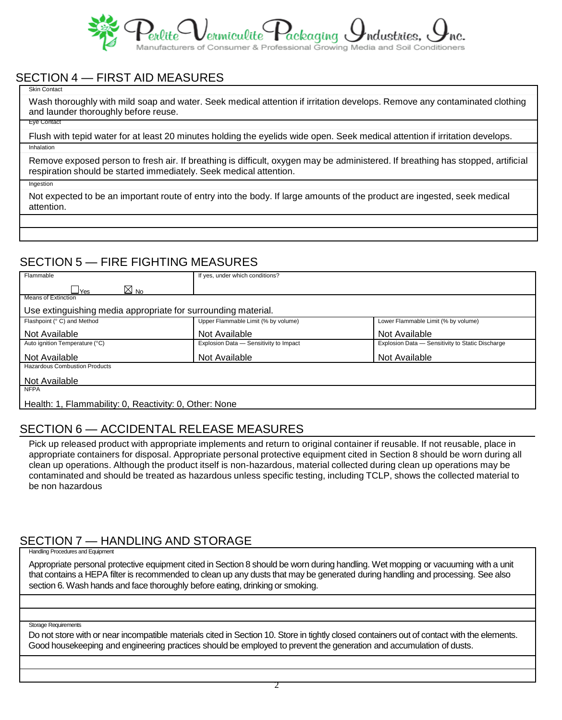

## SECTION 4 — FIRST AID MEASURES

Skin Contact

Wash thoroughly with mild soap and water. Seek medical attention if irritation develops. Remove any contaminated clothing and launder thoroughly before reuse.

Eye Contact

Flush with tepid water for at least 20 minutes holding the eyelids wide open. Seek medical attention if irritation develops. Inhalation

Remove exposed person to fresh air. If breathing is difficult, oxygen may be administered. If breathing has stopped, artificial respiration should be started immediately. Seek medical attention.

Ingestion

Not expected to be an important route of entry into the body. If large amounts of the product are ingested, seek medical attention.

## SECTION 5 — FIRE FIGHTING MEASURES

| Flammable                                                     | If yes, under which conditions?        |                                                  |  |  |  |
|---------------------------------------------------------------|----------------------------------------|--------------------------------------------------|--|--|--|
| $\boxtimes$ No<br>$\sqcup$ Yes                                |                                        |                                                  |  |  |  |
| <b>Means of Extinction</b>                                    |                                        |                                                  |  |  |  |
| Use extinguishing media appropriate for surrounding material. |                                        |                                                  |  |  |  |
| Flashpoint (° C) and Method                                   | Upper Flammable Limit (% by volume)    | Lower Flammable Limit (% by volume)              |  |  |  |
| Not Available                                                 | Not Available                          | Not Available                                    |  |  |  |
| Auto ignition Temperature (°C)                                | Explosion Data - Sensitivity to Impact | Explosion Data - Sensitivity to Static Discharge |  |  |  |
| Not Available                                                 | Not Available                          | Not Available                                    |  |  |  |
| <b>Hazardous Combustion Products</b>                          |                                        |                                                  |  |  |  |
| Not Available                                                 |                                        |                                                  |  |  |  |
| <b>NFPA</b>                                                   |                                        |                                                  |  |  |  |
| Health: 1, Flammability: 0, Reactivity: 0, Other: None        |                                        |                                                  |  |  |  |

## SECTION 6 — ACCIDENTAL RELEASE MEASURES

Pick up released product with appropriate implements and return to original container if reusable. If not reusable, place in appropriate containers for disposal. Appropriate personal protective equipment cited in Section 8 should be worn during all clean up operations. Although the product itself is non-hazardous, material collected during clean up operations may be contaminated and should be treated as hazardous unless specific testing, including TCLP, shows the collected material to be non hazardous

## SECTION 7 — HANDLING AND STORAGE

Handling Procedures and Equipment

Appropriate personal protective equipment cited in Section 8 should be worn during handling. Wet mopping or vacuuming with a unit that contains a HEPA filter is recommended to clean up any dusts that may be generated during handling and processing. See also section 6. Wash hands and face thoroughly before eating, drinking or smoking.

Storage Requirements

Do not store with or near incompatible materials cited in Section 10. Store in tightly closed containers out of contact with the elements. Good housekeeping and engineering practices should be employed to prevent the generation and accumulation of dusts.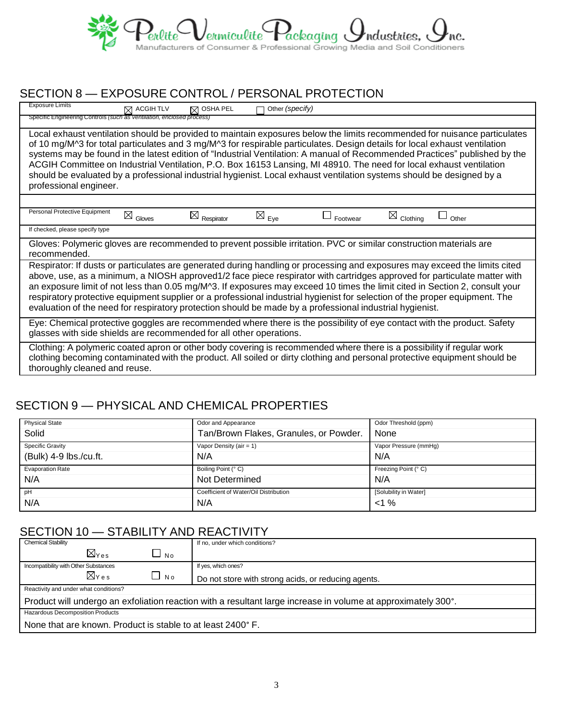

## SECTION 8 — EXPOSURE CONTROL / PERSONAL PROTECTION

| <b>Exposure Limits</b>                                                                                                                                                                                                                                                                                                                                                                                                                                                                                                                                                                                                                                          | $\boxtimes$ ACGIH TLV | $\boxtimes$ OSHA PEL   | Other (specify)            |          |                      |       |
|-----------------------------------------------------------------------------------------------------------------------------------------------------------------------------------------------------------------------------------------------------------------------------------------------------------------------------------------------------------------------------------------------------------------------------------------------------------------------------------------------------------------------------------------------------------------------------------------------------------------------------------------------------------------|-----------------------|------------------------|----------------------------|----------|----------------------|-------|
| Specific Engineering Controls (such as ventilation, enclosed process)                                                                                                                                                                                                                                                                                                                                                                                                                                                                                                                                                                                           |                       |                        |                            |          |                      |       |
| Local exhaust ventilation should be provided to maintain exposures below the limits recommended for nuisance particulates<br>of 10 mg/M^3 for total particulates and 3 mg/M^3 for respirable particulates. Design details for local exhaust ventilation<br>systems may be found in the latest edition of "Industrial Ventilation: A manual of Recommended Practices" published by the<br>ACGIH Committee on Industrial Ventilation, P.O. Box 16153 Lansing, MI 48910. The need for local exhaust ventilation<br>should be evaluated by a professional industrial hygienist. Local exhaust ventilation systems should be designed by a<br>professional engineer. |                       |                        |                            |          |                      |       |
|                                                                                                                                                                                                                                                                                                                                                                                                                                                                                                                                                                                                                                                                 |                       |                        |                            |          |                      |       |
| Personal Protective Equipment                                                                                                                                                                                                                                                                                                                                                                                                                                                                                                                                                                                                                                   | $\bowtie$<br>Gloves   | $\boxtimes$ Respirator | $\boxtimes$ <sub>Eye</sub> | Footwear | $\boxtimes$ Clothing | Other |
| If checked, please specify type                                                                                                                                                                                                                                                                                                                                                                                                                                                                                                                                                                                                                                 |                       |                        |                            |          |                      |       |
| Gloves: Polymeric gloves are recommended to prevent possible irritation. PVC or similar construction materials are<br>recommended.                                                                                                                                                                                                                                                                                                                                                                                                                                                                                                                              |                       |                        |                            |          |                      |       |
| Respirator: If dusts or particulates are generated during handling or processing and exposures may exceed the limits cited<br>above, use, as a minimum, a NIOSH approved1/2 face piece respirator with cartridges approved for particulate matter with<br>an exposure limit of not less than 0.05 mg/M^3. If exposures may exceed 10 times the limit cited in Section 2, consult your<br>respiratory protective equipment supplier or a professional industrial hygienist for selection of the proper equipment. The<br>evaluation of the need for respiratory protection should be made by a professional industrial hygienist.                                |                       |                        |                            |          |                      |       |
| Eye: Chemical protective goggles are recommended where there is the possibility of eye contact with the product. Safety<br>glasses with side shields are recommended for all other operations.                                                                                                                                                                                                                                                                                                                                                                                                                                                                  |                       |                        |                            |          |                      |       |
| Clothing: A polymeric coated apron or other body covering is recommended where there is a possibility if regular work<br>clothing becoming contaminated with the product. All soiled or dirty clothing and personal protective equipment should be<br>thoroughly cleaned and reuse.                                                                                                                                                                                                                                                                                                                                                                             |                       |                        |                            |          |                      |       |

# SECTION 9 — PHYSICAL AND CHEMICAL PROPERTIES

| <b>Physical State</b>   | Odor and Appearance                    | Odor Threshold (ppm)  |
|-------------------------|----------------------------------------|-----------------------|
| Solid                   | Tan/Brown Flakes, Granules, or Powder. | I None                |
| <b>Specific Gravity</b> | Vapor Density ( $air = 1$ )            | Vapor Pressure (mmHq) |
| (Bulk) 4-9 lbs./cu.ft.  | N/A                                    | N/A                   |
| <b>Evaporation Rate</b> | Boiling Point (° C)                    | Freezing Point (° C)  |
| N/A                     | Not Determined                         | N/A                   |
| pH                      | Coefficient of Water/Oil Distribution  | [Solubility in Water] |
|                         |                                        |                       |

#### SECTION 10 - STABILITY AND REACTIVITY

| <b>Chemical Stability</b>                                                                                     |                            |           | If no, under which conditions?                      |  |
|---------------------------------------------------------------------------------------------------------------|----------------------------|-----------|-----------------------------------------------------|--|
|                                                                                                               | $\boxtimes_{\texttt{Yes}}$ | $\Box$ No |                                                     |  |
| Incompatibility with Other Substances                                                                         |                            |           | If yes, which ones?                                 |  |
|                                                                                                               | $\boxtimes$ Yes            | $\Box$ No | Do not store with strong acids, or reducing agents. |  |
| Reactivity and under what conditions?                                                                         |                            |           |                                                     |  |
| Product will undergo an exfoliation reaction with a resultant large increase in volume at approximately 300°. |                            |           |                                                     |  |
| Hazardous Decomposition Products                                                                              |                            |           |                                                     |  |
| None that are known. Product is stable to at least 2400° F.                                                   |                            |           |                                                     |  |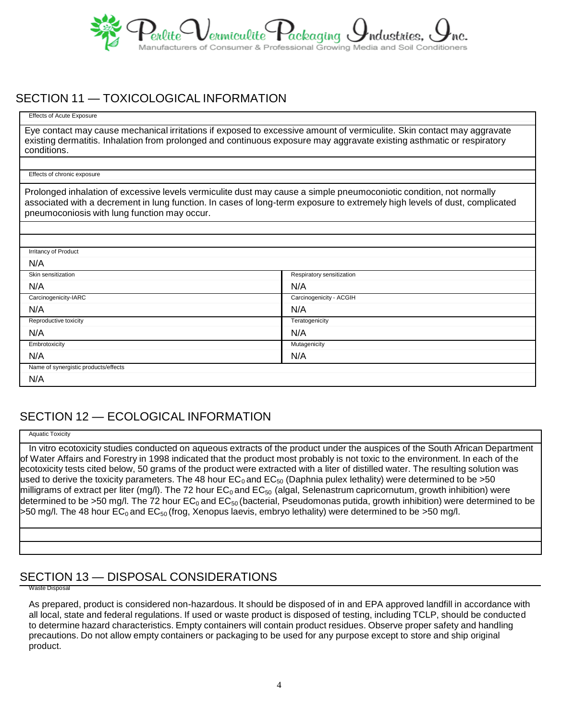

#### SECTION 11 — TOXICOLOGICAL INFORMATION

Effects of Acute Exposure

Eye contact may cause mechanical irritations if exposed to excessive amount of vermiculite. Skin contact may aggravate existing dermatitis. Inhalation from prolonged and continuous exposure may aggravate existing asthmatic or respiratory conditions.

Effects of chronic exposure

Prolonged inhalation of excessive levels vermiculite dust may cause a simple pneumoconiotic condition, not normally associated with a decrement in lung function. In cases of long-term exposure to extremely high levels of dust, complicated pneumoconiosis with lung function may occur.

| Irritancy of Product                 |                           |
|--------------------------------------|---------------------------|
| N/A                                  |                           |
| Skin sensitization                   | Respiratory sensitization |
| N/A                                  | N/A                       |
| Carcinogenicity-IARC                 | Carcinogenicity - ACGIH   |
| N/A                                  | N/A                       |
| Reproductive toxicity                | Teratogenicity            |
| N/A                                  | N/A                       |
| Embrotoxicity                        | Mutagenicity              |
| N/A                                  | N/A                       |
| Name of synergistic products/effects |                           |
| N/A                                  |                           |

# SECTION 12 — ECOLOGICAL INFORMATION

Aquatic Toxicity

In vitro ecotoxicity studies conducted on aqueous extracts of the product under the auspices of the South African Department of Water Affairs and Forestry in 1998 indicated that the product most probably is not toxic to the environment. In each of the ecotoxicity tests cited below, 50 grams of the product were extracted with a liter of distilled water. The resulting solution was used to derive the toxicity parameters. The 48 hour EC<sub>0</sub> and EC<sub>50</sub> (Daphnia pulex lethality) were determined to be >50 milligrams of extract per liter (mg/l). The 72 hour  $EC_0$  and  $EC_{50}$  (algal, Selenastrum capricornutum, growth inhibition) were determined to be >50 mg/l. The 72 hour  $EC_0$  and  $EC_{50}$  (bacterial, Pseudomonas putida, growth inhibition) were determined to be >50 mg/l. The 48 hour  $EC_0$  and  $EC_{50}$  (frog, Xenopus laevis, embryo lethality) were determined to be >50 mg/l.

### SECTION 13 — DISPOSAL CONSIDERATIONS

Waste Disposal

As prepared, product is considered non-hazardous. It should be disposed of in and EPA approved landfill in accordance with all local, state and federal regulations. If used or waste product is disposed of testing, including TCLP, should be conducted to determine hazard characteristics. Empty containers will contain product residues. Observe proper safety and handling precautions. Do not allow empty containers or packaging to be used for any purpose except to store and ship original product.